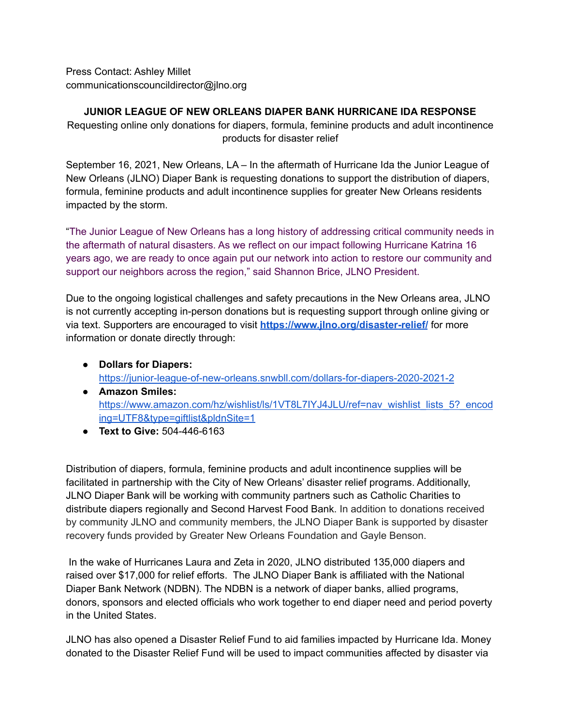Press Contact: Ashley Millet communicationscouncildirector@jlno.org

## **JUNIOR LEAGUE OF NEW ORLEANS DIAPER BANK HURRICANE IDA RESPONSE**

Requesting online only donations for diapers, formula, feminine products and adult incontinence products for disaster relief

September 16, 2021, New Orleans, LA – In the aftermath of Hurricane Ida the Junior League of New Orleans (JLNO) Diaper Bank is requesting donations to support the distribution of diapers, formula, feminine products and adult incontinence supplies for greater New Orleans residents impacted by the storm.

"The Junior League of New Orleans has a long history of addressing critical community needs in the aftermath of natural disasters. As we reflect on our impact following Hurricane Katrina 16 years ago, we are ready to once again put our network into action to restore our community and support our neighbors across the region," said Shannon Brice, JLNO President.

Due to the ongoing logistical challenges and safety precautions in the New Orleans area, JLNO is not currently accepting in-person donations but is requesting support through online giving or via text. Supporters are encouraged to visit **<https://www.jlno.org/disaster-relief/>** for more information or donate directly through:

- **Dollars for Diapers:** <https://junior-league-of-new-orleans.snwbll.com/dollars-for-diapers-2020-2021-2>
- **Amazon Smiles:** [https://www.amazon.com/hz/wishlist/ls/1VT8L7IYJ4JLU/ref=nav\\_wishlist\\_lists\\_5?\\_encod](https://www.amazon.com/hz/wishlist/ls/1VT8L7IYJ4JLU/ref=nav_wishlist_lists_5?_encoding=UTF8&type=giftlist&pldnSite=1) [ing=UTF8&type=giftlist&pldnSite=1](https://www.amazon.com/hz/wishlist/ls/1VT8L7IYJ4JLU/ref=nav_wishlist_lists_5?_encoding=UTF8&type=giftlist&pldnSite=1)
- **Text to Give:** 504-446-6163

Distribution of diapers, formula, feminine products and adult incontinence supplies will be facilitated in partnership with the City of New Orleans' disaster relief programs. Additionally, JLNO Diaper Bank will be working with community partners such as Catholic Charities to distribute diapers regionally and Second Harvest Food Bank. In addition to donations received by community JLNO and community members, the JLNO Diaper Bank is supported by disaster recovery funds provided by Greater New Orleans Foundation and Gayle Benson.

In the wake of Hurricanes Laura and Zeta in 2020, JLNO distributed 135,000 diapers and raised over \$17,000 for relief efforts. The JLNO Diaper Bank is affiliated with the National Diaper Bank Network (NDBN). The NDBN is a network of diaper banks, allied programs, donors, sponsors and elected officials who work together to end diaper need and period poverty in the United States.

JLNO has also opened a Disaster Relief Fund to aid families impacted by Hurricane Ida. Money donated to the Disaster Relief Fund will be used to impact communities affected by disaster via